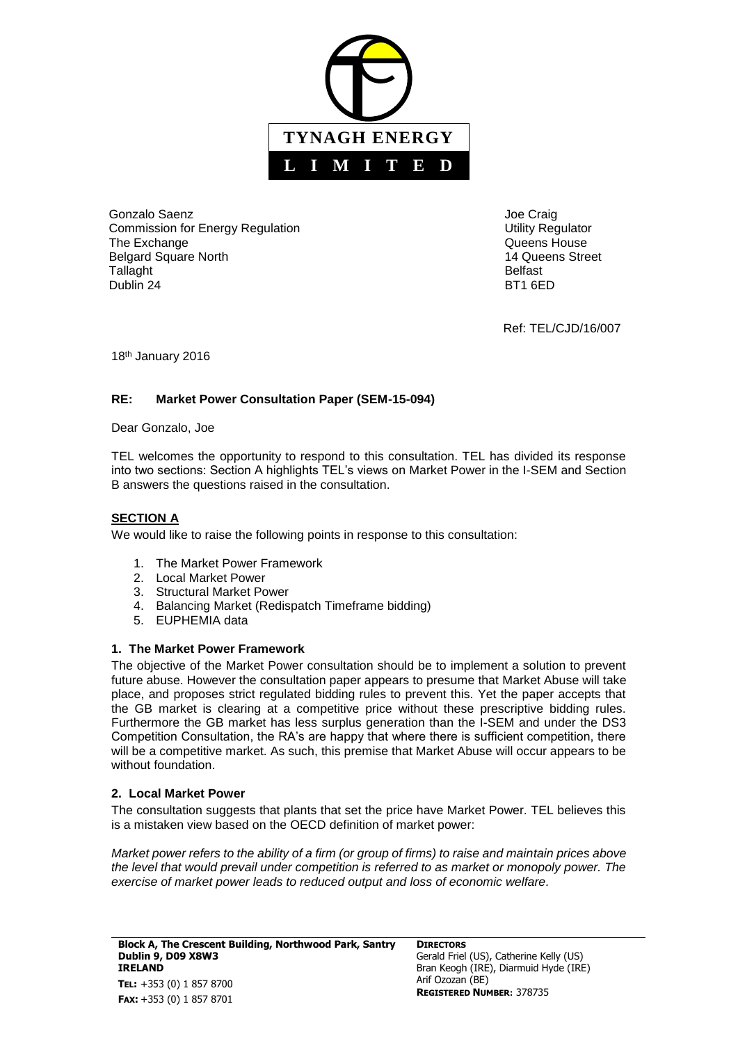

Gonzalo Saenz Commission for Energy Regulation The Exchange Belgard Square North **Tallaght** Dublin 24

Joe Craig Utility Regulator Queens House 14 Queens Street Belfast BT1 6ED

Ref: TEL/CJD/16/007

18<sup>th</sup> January 2016

# **RE: Market Power Consultation Paper (SEM-15-094)**

Dear Gonzalo, Joe

TEL welcomes the opportunity to respond to this consultation. TEL has divided its response into two sections: Section A highlights TEL's views on Market Power in the I-SEM and Section B answers the questions raised in the consultation.

# **SECTION A**

We would like to raise the following points in response to this consultation:

- 1. The Market Power Framework
- 2. Local Market Power
- 3. Structural Market Power
- 4. Balancing Market (Redispatch Timeframe bidding)
- 5. EUPHEMIA data

# **1. The Market Power Framework**

The objective of the Market Power consultation should be to implement a solution to prevent future abuse. However the consultation paper appears to presume that Market Abuse will take place, and proposes strict regulated bidding rules to prevent this. Yet the paper accepts that the GB market is clearing at a competitive price without these prescriptive bidding rules. Furthermore the GB market has less surplus generation than the I-SEM and under the DS3 Competition Consultation, the RA's are happy that where there is sufficient competition, there will be a competitive market. As such, this premise that Market Abuse will occur appears to be without foundation.

## **2. Local Market Power**

The consultation suggests that plants that set the price have Market Power. TEL believes this is a mistaken view based on the OECD definition of market power:

*Market power refers to the ability of a firm (or group of firms) to raise and maintain prices above the level that would prevail under competition is referred to as market or monopoly power. The exercise of market power leads to reduced output and loss of economic welfare.*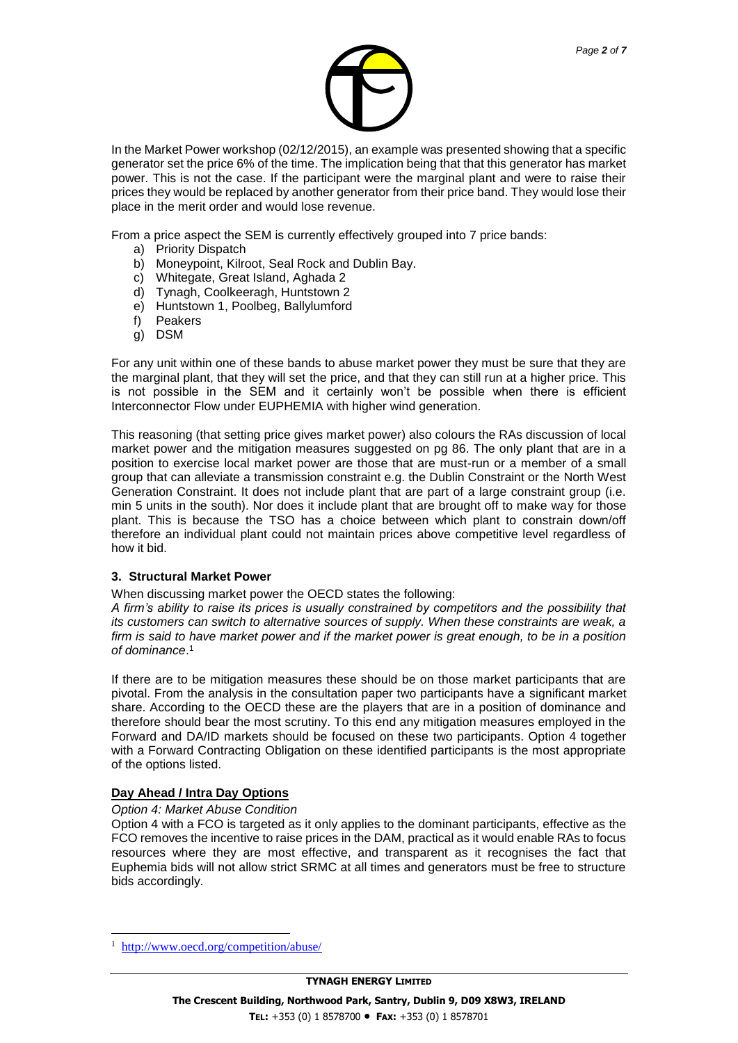

In the Market Power workshop (02/12/2015), an example was presented showing that a specific generator set the price 6% of the time. The implication being that that this generator has market power. This is not the case. If the participant were the marginal plant and were to raise their prices they would be replaced by another generator from their price band. They would lose their place in the merit order and would lose revenue.

From a price aspect the SEM is currently effectively grouped into 7 price bands:

- a) Priority Dispatch
- b) Moneypoint, Kilroot, Seal Rock and Dublin Bay.
- c) Whitegate, Great Island, Aghada 2
- d) Tynagh, Coolkeeragh, Huntstown 2
- e) Huntstown 1, Poolbeg, Ballylumford
- f) Peakers
- g) DSM

For any unit within one of these bands to abuse market power they must be sure that they are the marginal plant, that they will set the price, and that they can still run at a higher price. This is not possible in the SEM and it certainly won't be possible when there is efficient Interconnector Flow under EUPHEMIA with higher wind generation.

This reasoning (that setting price gives market power) also colours the RAs discussion of local market power and the mitigation measures suggested on pg 86. The only plant that are in a position to exercise local market power are those that are must-run or a member of a small group that can alleviate a transmission constraint e.g. the Dublin Constraint or the North West Generation Constraint. It does not include plant that are part of a large constraint group (i.e. min 5 units in the south). Nor does it include plant that are brought off to make way for those plant. This is because the TSO has a choice between which plant to constrain down/off therefore an individual plant could not maintain prices above competitive level regardless of how it bid.

#### **3. Structural Market Power**

When discussing market power the OECD states the following:

*A firm's ability to raise its prices is usually constrained by competitors and the possibility that its customers can switch to alternative sources of supply. When these constraints are weak, a firm is said to have market power and if the market power is great enough, to be in a position of dominance*. 1

If there are to be mitigation measures these should be on those market participants that are pivotal. From the analysis in the consultation paper two participants have a significant market share. According to the OECD these are the players that are in a position of dominance and therefore should bear the most scrutiny. To this end any mitigation measures employed in the Forward and DA/ID markets should be focused on these two participants. Option 4 together with a Forward Contracting Obligation on these identified participants is the most appropriate of the options listed.

## **Day Ahead / Intra Day Options**

#### *Option 4: Market Abuse Condition*

Option 4 with a FCO is targeted as it only applies to the dominant participants, effective as the FCO removes the incentive to raise prices in the DAM, practical as it would enable RAs to focus resources where they are most effective, and transparent as it recognises the fact that Euphemia bids will not allow strict SRMC at all times and generators must be free to structure bids accordingly.

l

<sup>1</sup> <http://www.oecd.org/competition/abuse/>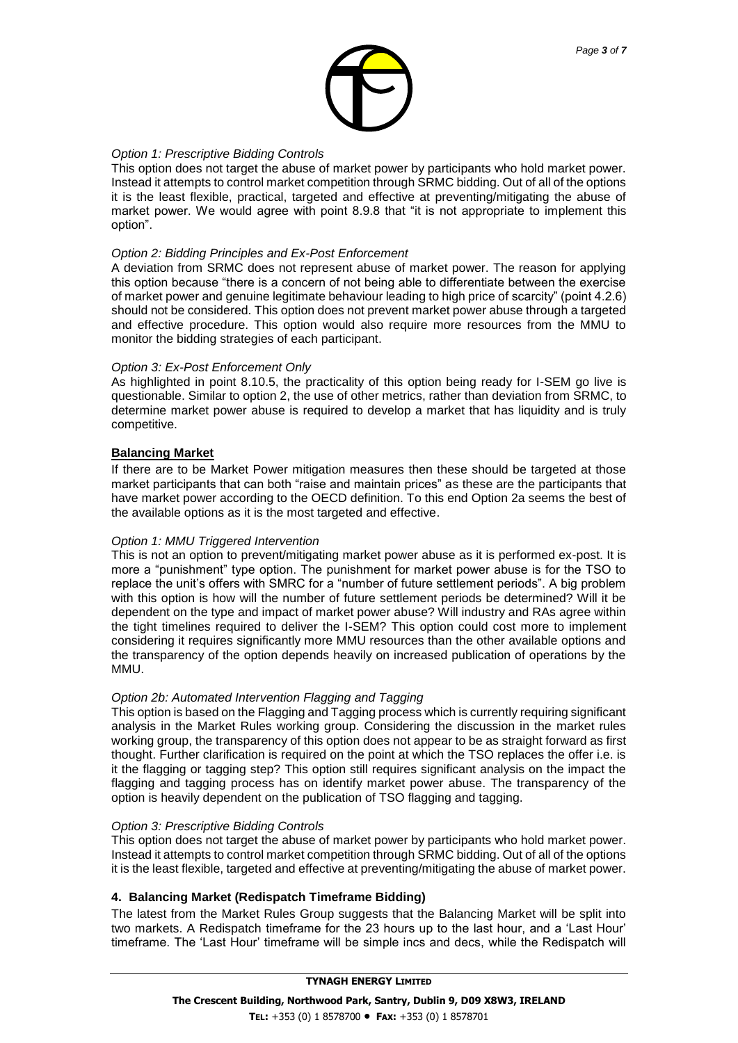

## *Option 1: Prescriptive Bidding Controls*

This option does not target the abuse of market power by participants who hold market power. Instead it attempts to control market competition through SRMC bidding. Out of all of the options it is the least flexible, practical, targeted and effective at preventing/mitigating the abuse of market power. We would agree with point 8.9.8 that "it is not appropriate to implement this option".

#### *Option 2: Bidding Principles and Ex-Post Enforcement*

A deviation from SRMC does not represent abuse of market power. The reason for applying this option because "there is a concern of not being able to differentiate between the exercise of market power and genuine legitimate behaviour leading to high price of scarcity" (point 4.2.6) should not be considered. This option does not prevent market power abuse through a targeted and effective procedure. This option would also require more resources from the MMU to monitor the bidding strategies of each participant.

## *Option 3: Ex-Post Enforcement Only*

As highlighted in point 8.10.5, the practicality of this option being ready for I-SEM go live is questionable. Similar to option 2, the use of other metrics, rather than deviation from SRMC, to determine market power abuse is required to develop a market that has liquidity and is truly competitive.

## **Balancing Market**

If there are to be Market Power mitigation measures then these should be targeted at those market participants that can both "raise and maintain prices" as these are the participants that have market power according to the OECD definition. To this end Option 2a seems the best of the available options as it is the most targeted and effective.

## *Option 1: MMU Triggered Intervention*

This is not an option to prevent/mitigating market power abuse as it is performed ex-post. It is more a "punishment" type option. The punishment for market power abuse is for the TSO to replace the unit's offers with SMRC for a "number of future settlement periods". A big problem with this option is how will the number of future settlement periods be determined? Will it be dependent on the type and impact of market power abuse? Will industry and RAs agree within the tight timelines required to deliver the I-SEM? This option could cost more to implement considering it requires significantly more MMU resources than the other available options and the transparency of the option depends heavily on increased publication of operations by the MMU.

## *Option 2b: Automated Intervention Flagging and Tagging*

This option is based on the Flagging and Tagging process which is currently requiring significant analysis in the Market Rules working group. Considering the discussion in the market rules working group, the transparency of this option does not appear to be as straight forward as first thought. Further clarification is required on the point at which the TSO replaces the offer i.e. is it the flagging or tagging step? This option still requires significant analysis on the impact the flagging and tagging process has on identify market power abuse. The transparency of the option is heavily dependent on the publication of TSO flagging and tagging.

## *Option 3: Prescriptive Bidding Controls*

This option does not target the abuse of market power by participants who hold market power. Instead it attempts to control market competition through SRMC bidding. Out of all of the options it is the least flexible, targeted and effective at preventing/mitigating the abuse of market power.

## **4. Balancing Market (Redispatch Timeframe Bidding)**

The latest from the Market Rules Group suggests that the Balancing Market will be split into two markets. A Redispatch timeframe for the 23 hours up to the last hour, and a 'Last Hour' timeframe. The 'Last Hour' timeframe will be simple incs and decs, while the Redispatch will

#### **TYNAGH ENERGY LIMITED**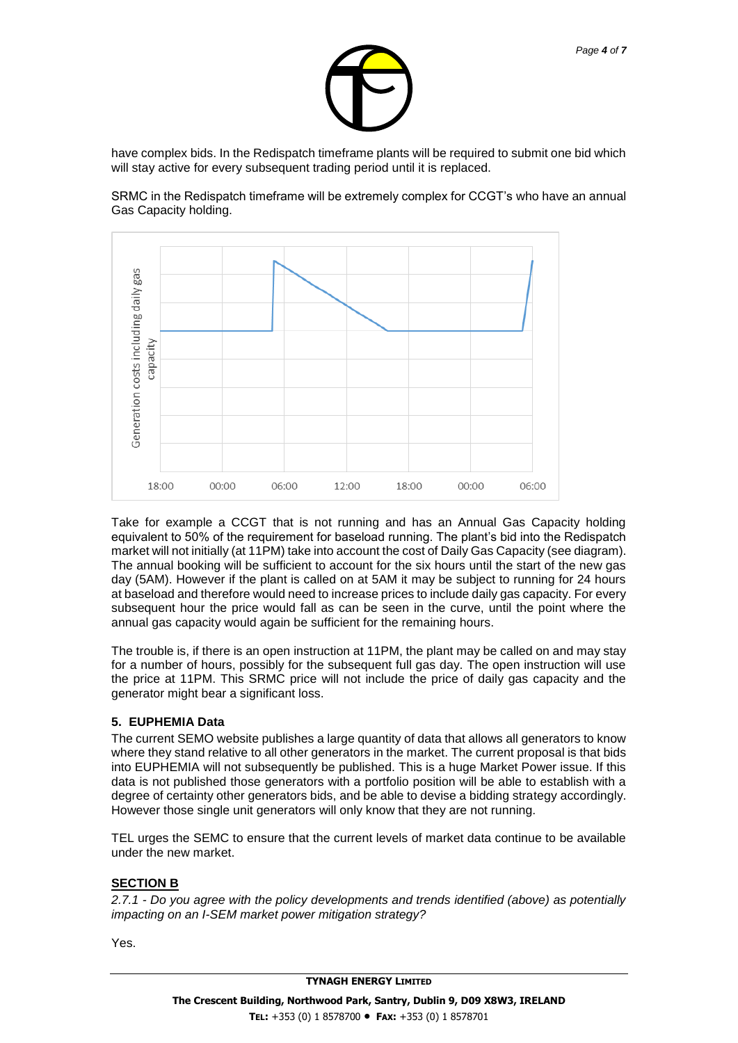

have complex bids. In the Redispatch timeframe plants will be required to submit one bid which will stay active for every subsequent trading period until it is replaced.

SRMC in the Redispatch timeframe will be extremely complex for CCGT's who have an annual Gas Capacity holding.



Take for example a CCGT that is not running and has an Annual Gas Capacity holding equivalent to 50% of the requirement for baseload running. The plant's bid into the Redispatch market will not initially (at 11PM) take into account the cost of Daily Gas Capacity (see diagram). The annual booking will be sufficient to account for the six hours until the start of the new gas day (5AM). However if the plant is called on at 5AM it may be subject to running for 24 hours at baseload and therefore would need to increase prices to include daily gas capacity. For every subsequent hour the price would fall as can be seen in the curve, until the point where the annual gas capacity would again be sufficient for the remaining hours.

The trouble is, if there is an open instruction at 11PM, the plant may be called on and may stay for a number of hours, possibly for the subsequent full gas day. The open instruction will use the price at 11PM. This SRMC price will not include the price of daily gas capacity and the generator might bear a significant loss.

## **5. EUPHEMIA Data**

The current SEMO website publishes a large quantity of data that allows all generators to know where they stand relative to all other generators in the market. The current proposal is that bids into EUPHEMIA will not subsequently be published. This is a huge Market Power issue. If this data is not published those generators with a portfolio position will be able to establish with a degree of certainty other generators bids, and be able to devise a bidding strategy accordingly. However those single unit generators will only know that they are not running.

TEL urges the SEMC to ensure that the current levels of market data continue to be available under the new market.

## **SECTION B**

*2.7.1 - Do you agree with the policy developments and trends identified (above) as potentially impacting on an I-SEM market power mitigation strategy?* 

Yes.

**TYNAGH ENERGY LIMITED**

*Page 4 of 7*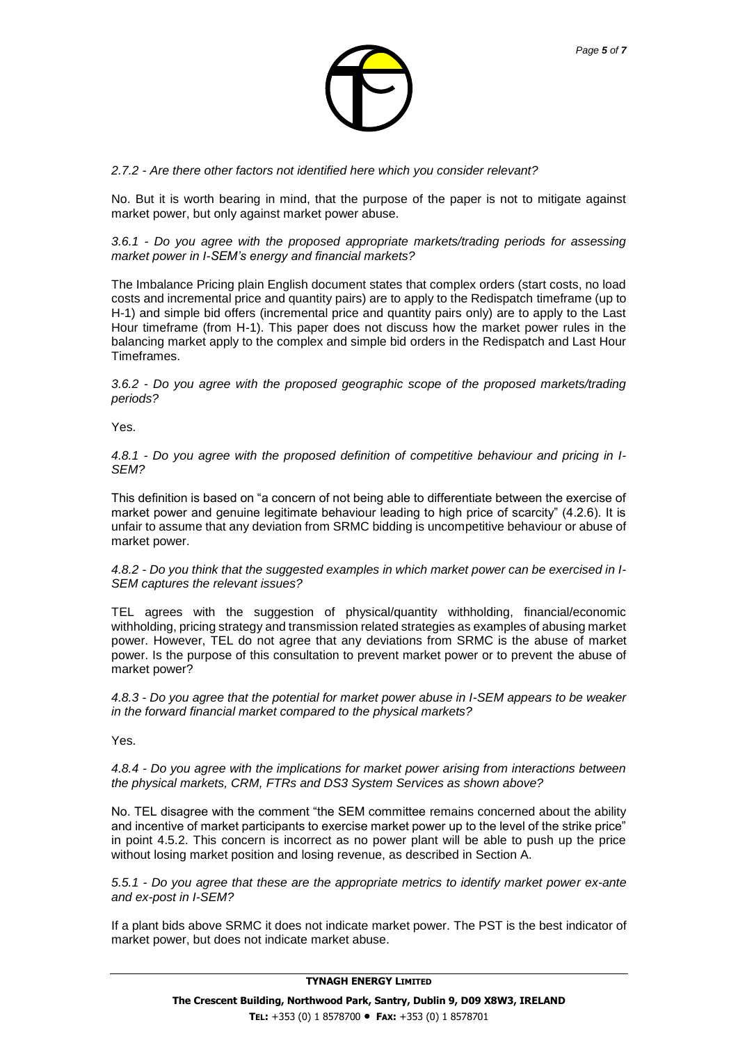

*2.7.2 - Are there other factors not identified here which you consider relevant?* 

No. But it is worth bearing in mind, that the purpose of the paper is not to mitigate against market power, but only against market power abuse.

*3.6.1 - Do you agree with the proposed appropriate markets/trading periods for assessing market power in I-SEM's energy and financial markets?* 

The Imbalance Pricing plain English document states that complex orders (start costs, no load costs and incremental price and quantity pairs) are to apply to the Redispatch timeframe (up to H-1) and simple bid offers (incremental price and quantity pairs only) are to apply to the Last Hour timeframe (from H-1). This paper does not discuss how the market power rules in the balancing market apply to the complex and simple bid orders in the Redispatch and Last Hour Timeframes.

*3.6.2 - Do you agree with the proposed geographic scope of the proposed markets/trading periods?* 

Yes.

*4.8.1 - Do you agree with the proposed definition of competitive behaviour and pricing in I-SEM?* 

This definition is based on "a concern of not being able to differentiate between the exercise of market power and genuine legitimate behaviour leading to high price of scarcity" (4.2.6). It is unfair to assume that any deviation from SRMC bidding is uncompetitive behaviour or abuse of market power.

*4.8.2 - Do you think that the suggested examples in which market power can be exercised in I-SEM captures the relevant issues?* 

TEL agrees with the suggestion of physical/quantity withholding, financial/economic withholding, pricing strategy and transmission related strategies as examples of abusing market power. However, TEL do not agree that any deviations from SRMC is the abuse of market power. Is the purpose of this consultation to prevent market power or to prevent the abuse of market power?

*4.8.3 - Do you agree that the potential for market power abuse in I-SEM appears to be weaker in the forward financial market compared to the physical markets?*

Yes.

*4.8.4 - Do you agree with the implications for market power arising from interactions between the physical markets, CRM, FTRs and DS3 System Services as shown above?*

No. TEL disagree with the comment "the SEM committee remains concerned about the ability and incentive of market participants to exercise market power up to the level of the strike price" in point 4.5.2. This concern is incorrect as no power plant will be able to push up the price without losing market position and losing revenue, as described in Section A.

*5.5.1 - Do you agree that these are the appropriate metrics to identify market power ex-ante and ex-post in I-SEM?*

If a plant bids above SRMC it does not indicate market power. The PST is the best indicator of market power, but does not indicate market abuse.

**TYNAGH ENERGY LIMITED**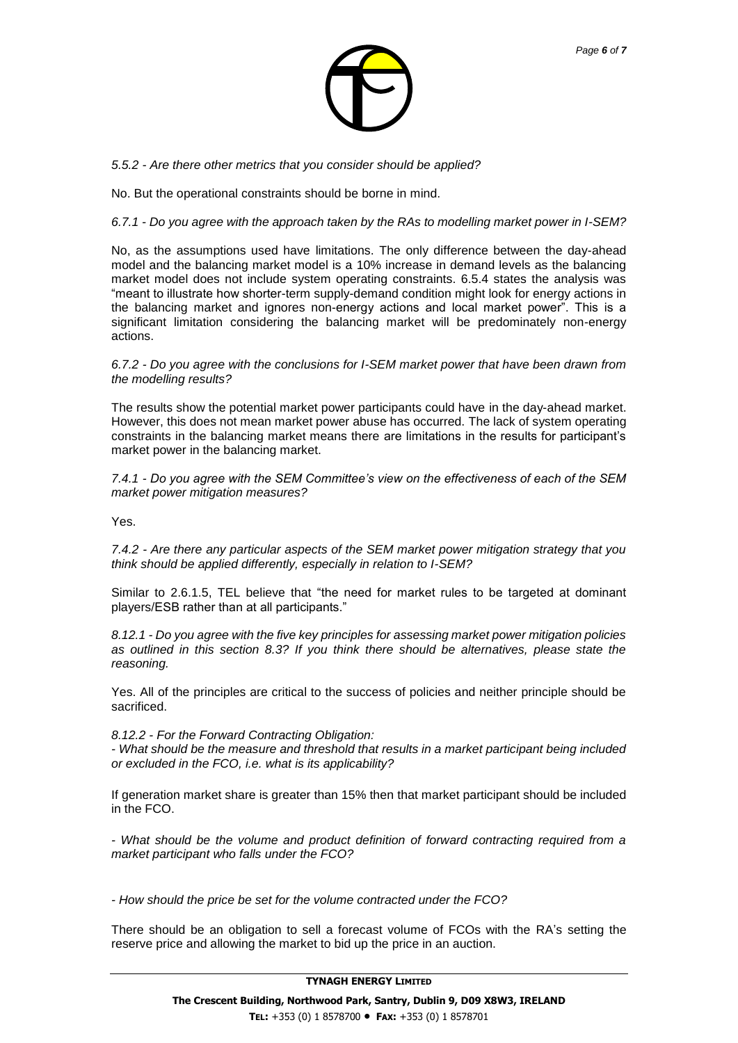

*5.5.2 - Are there other metrics that you consider should be applied?* 

No. But the operational constraints should be borne in mind.

#### *6.7.1 - Do you agree with the approach taken by the RAs to modelling market power in I-SEM?*

No, as the assumptions used have limitations. The only difference between the day-ahead model and the balancing market model is a 10% increase in demand levels as the balancing market model does not include system operating constraints. 6.5.4 states the analysis was "meant to illustrate how shorter-term supply-demand condition might look for energy actions in the balancing market and ignores non-energy actions and local market power". This is a significant limitation considering the balancing market will be predominately non-energy actions.

*6.7.2 - Do you agree with the conclusions for I-SEM market power that have been drawn from the modelling results?* 

The results show the potential market power participants could have in the day-ahead market. However, this does not mean market power abuse has occurred. The lack of system operating constraints in the balancing market means there are limitations in the results for participant's market power in the balancing market.

*7.4.1 - Do you agree with the SEM Committee's view on the effectiveness of each of the SEM market power mitigation measures?* 

Yes.

*7.4.2 - Are there any particular aspects of the SEM market power mitigation strategy that you think should be applied differently, especially in relation to I-SEM?* 

Similar to 2.6.1.5, TEL believe that "the need for market rules to be targeted at dominant players/ESB rather than at all participants."

*8.12.1 - Do you agree with the five key principles for assessing market power mitigation policies as outlined in this section 8.3? If you think there should be alternatives, please state the reasoning.* 

Yes. All of the principles are critical to the success of policies and neither principle should be sacrificed.

*8.12.2 - For the Forward Contracting Obligation:* 

*- What should be the measure and threshold that results in a market participant being included or excluded in the FCO, i.e. what is its applicability?* 

If generation market share is greater than 15% then that market participant should be included in the FCO.

*- What should be the volume and product definition of forward contracting required from a market participant who falls under the FCO?* 

*- How should the price be set for the volume contracted under the FCO?* 

There should be an obligation to sell a forecast volume of FCOs with the RA's setting the reserve price and allowing the market to bid up the price in an auction.

#### **TYNAGH ENERGY LIMITED**